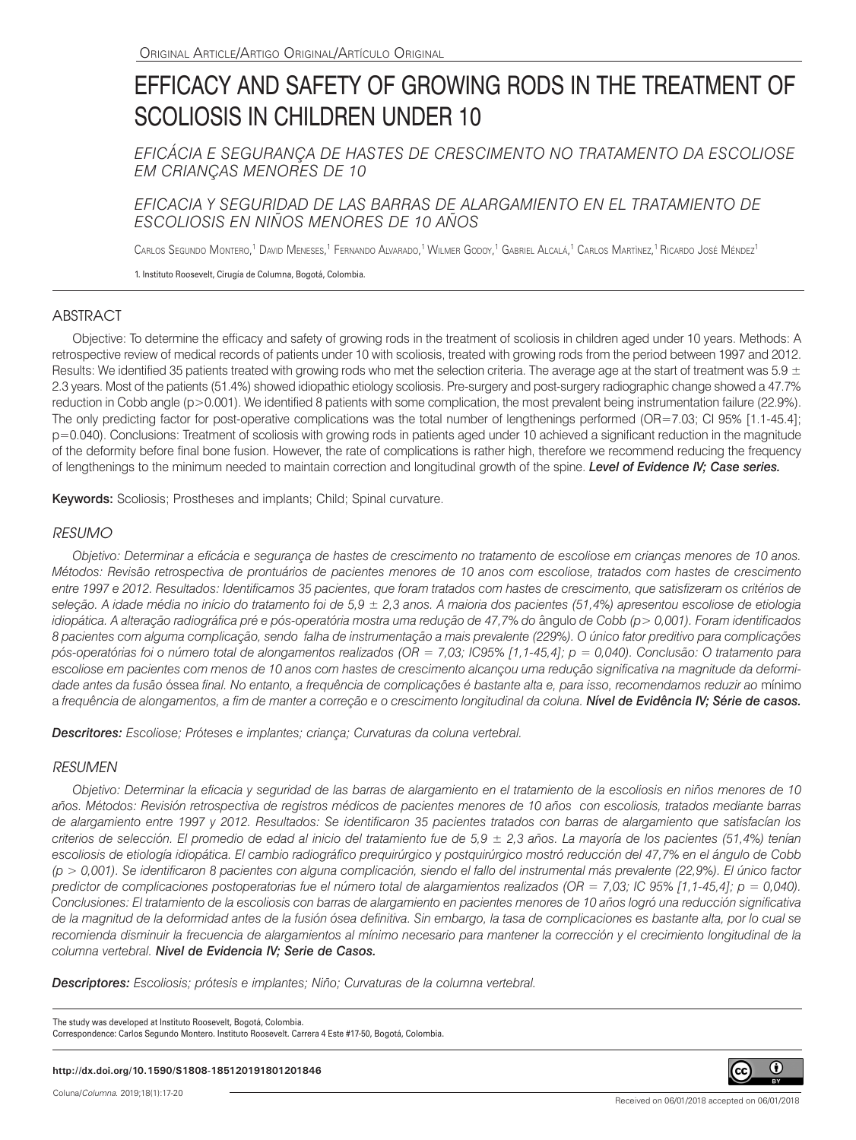# EFFICACY AND SAFETY OF GROWING RODS IN THE TREATMENT OF SCOLIOSIS IN CHILDREN UNDER 10

*EFICÁCIA E SEGURANÇA DE HASTES DE CRESCIMENTO NO TRATAMENTO DA ESCOLIOSE EM CRIANÇAS MENORES DE 10*

*EFICACIA Y SEGURIDAD DE LAS BARRAS DE ALARGAMIENTO EN EL TRATAMIENTO DE ESCOLIOSIS EN NIÑOS MENORES DE 10 AÑOS*

Carlos Segundo Montero,<sup>1</sup> David Meneses,<sup>1</sup> Fernando Alvarado,<sup>1</sup> Wilmer Godoy,<sup>1</sup> Gabriel Alcalá,<sup>1</sup> Carlos Martìnez,<sup>1</sup> Ricardo José Méndez<sup>1</sup>

1. Instituto Roosevelt, Cirugía de Columna, Bogotá, Colombia.

## ABSTRACT

Objective: To determine the efficacy and safety of growing rods in the treatment of scoliosis in children aged under 10 years. Methods: A retrospective review of medical records of patients under 10 with scoliosis, treated with growing rods from the period between 1997 and 2012. Results: We identified 35 patients treated with growing rods who met the selection criteria. The average age at the start of treatment was 5.9  $\pm$ 2.3 years. Most of the patients (51.4%) showed idiopathic etiology scoliosis. Pre-surgery and post-surgery radiographic change showed a 47.7% reduction in Cobb angle (p>0.001). We identified 8 patients with some complication, the most prevalent being instrumentation failure (22.9%). The only predicting factor for post-operative complications was the total number of lengthenings performed (OR=7.03; CI 95% [1.1-45.4]; p=0.040). Conclusions: Treatment of scoliosis with growing rods in patients aged under 10 achieved a significant reduction in the magnitude of the deformity before final bone fusion. However, the rate of complications is rather high, therefore we recommend reducing the frequency of lengthenings to the minimum needed to maintain correction and longitudinal growth of the spine. *Level of Evidence IV; Case series.* 

Keywords: Scoliosis; Prostheses and implants; Child; Spinal curvature.

## *RESUMO*

*Objetivo: Determinar a eficácia e segurança de hastes de crescimento no tratamento de escoliose em crianças menores de 10 anos. Métodos: Revisão retrospectiva de prontuários de pacientes menores de 10 anos com escoliose, tratados com hastes de crescimento entre 1997 e 2012. Resultados: Identificamos 35 pacientes, que foram tratados com hastes de crescimento, que satisfizeram os critérios de seleção. A idade média no início do tratamento foi de 5,9 ± 2,3 anos. A maioria dos pacientes (51,4%) apresentou escoliose de etiologia idiopática. A alteração radiográfica pré e pós-operatória mostra uma redução de 47,7% do* ângulo *de Cobb (p> 0,001). Foram identificados 8 pacientes com alguma complicação, sendo falha de instrumentação a mais prevalente (229%). O único fator preditivo para complicações pós-operatórias foi o número total de alongamentos realizados (OR = 7,03; IC95% [1,1-45,4]; p = 0,040). Conclusão: O tratamento para escoliose em pacientes com menos de 10 anos com hastes de crescimento alcançou uma redução significativa na magnitude da deformidade antes da fusão* óssea *final. No entanto, a frequência de complicações é bastante alta e, para isso, recomendamos reduzir ao* mínimo a frequência de alongamentos, a fim de manter a correção e o crescimento longitudinal da coluna. **Nível de Evidência IV; Série de casos.** 

*Descritores: Escoliose; Próteses e implantes; criança; Curvaturas da coluna vertebral.*

### *RESUMEN*

*Objetivo: Determinar la eficacia y seguridad de las barras de alargamiento en el tratamiento de la escoliosis en niños menores de 10 años. Métodos: Revisión retrospectiva de registros médicos de pacientes menores de 10 años con escoliosis, tratados mediante barras de alargamiento entre 1997 y 2012. Resultados: Se identificaron 35 pacientes tratados con barras de alargamiento que satisfacían los criterios de selección. El promedio de edad al inicio del tratamiento fue de 5,9 ± 2,3 años. La mayoría de los pacientes (51,4%) tenían escoliosis de etiología idiopática. El cambio radiográfico prequirúrgico y postquirúrgico mostró reducción del 47,7% en el ángulo de Cobb (p > 0,001). Se identificaron 8 pacientes con alguna complicación, siendo el fallo del instrumental más prevalente (22,9%). El único factor predictor de complicaciones postoperatorias fue el número total de alargamientos realizados (OR = 7,03; IC 95% [1,1-45,4]; p = 0,040). Conclusiones: El tratamiento de la escoliosis con barras de alargamiento en pacientes menores de 10 años logró una reducción significativa de la magnitud de la deformidad antes de la fusión ósea definitiva. Sin embargo, la tasa de complicaciones es bastante alta, por lo cual se*  recomienda disminuir la frecuencia de alargamientos al mínimo necesario para mantener la corrección y el crecimiento longitudinal de la *columna vertebral. Nivel de Evidencia IV; Serie de Casos.*

*Descriptores: Escoliosis; prótesis e implantes; Niño; Curvaturas de la columna vertebral.*

The study was developed at Instituto Roosevelt, Bogotá, Colombia. Correspondence: Carlos Segundo Montero. Instituto Roosevelt. Carrera 4 Este #17-50, Bogotá, Colombia.

**http://dx.doi.org/10.1590/S1808-185120191801201846**

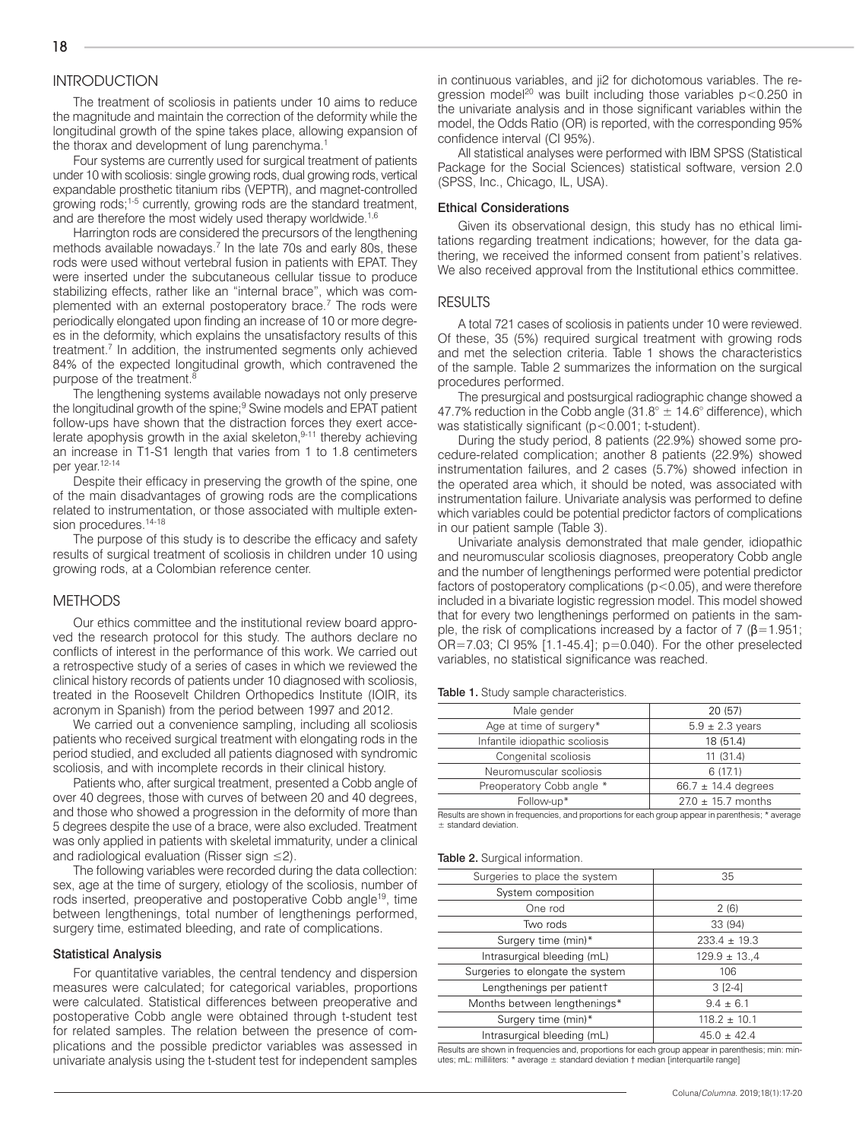## **INTRODUCTION**

The treatment of scoliosis in patients under 10 aims to reduce the magnitude and maintain the correction of the deformity while the longitudinal growth of the spine takes place, allowing expansion of the thorax and development of lung parenchyma.<sup>1</sup>

Four systems are currently used for surgical treatment of patients under 10 with scoliosis: single growing rods, dual growing rods, vertical expandable prosthetic titanium ribs (VEPTR), and magnet-controlled growing rods;1-5 currently, growing rods are the standard treatment, and are therefore the most widely used therapy worldwide.<sup>1,6</sup>

Harrington rods are considered the precursors of the lengthening methods available nowadays.<sup>7</sup> In the late 70s and early 80s, these rods were used without vertebral fusion in patients with EPAT. They were inserted under the subcutaneous cellular tissue to produce stabilizing effects, rather like an "internal brace", which was complemented with an external postoperatory brace.<sup>7</sup> The rods were periodically elongated upon finding an increase of 10 or more degrees in the deformity, which explains the unsatisfactory results of this treatment.<sup>7</sup> In addition, the instrumented segments only achieved 84% of the expected longitudinal growth, which contravened the purpose of the treatment.<sup>8</sup>

The lengthening systems available nowadays not only preserve the longitudinal growth of the spine;<sup>9</sup> Swine models and EPAT patient follow-ups have shown that the distraction forces they exert accelerate apophysis growth in the axial skeleton, $9-11$  thereby achieving an increase in T1-S1 length that varies from 1 to 1.8 centimeters per year.<sup>12-14</sup>

Despite their efficacy in preserving the growth of the spine, one of the main disadvantages of growing rods are the complications related to instrumentation, or those associated with multiple extension procedures.<sup>14-18</sup>

The purpose of this study is to describe the efficacy and safety results of surgical treatment of scoliosis in children under 10 using growing rods, at a Colombian reference center.

#### METHODS

Our ethics committee and the institutional review board approved the research protocol for this study. The authors declare no conflicts of interest in the performance of this work. We carried out a retrospective study of a series of cases in which we reviewed the clinical history records of patients under 10 diagnosed with scoliosis, treated in the Roosevelt Children Orthopedics Institute (IOIR, its acronym in Spanish) from the period between 1997 and 2012.

We carried out a convenience sampling, including all scoliosis patients who received surgical treatment with elongating rods in the period studied, and excluded all patients diagnosed with syndromic scoliosis, and with incomplete records in their clinical history.

Patients who, after surgical treatment, presented a Cobb angle of over 40 degrees, those with curves of between 20 and 40 degrees, and those who showed a progression in the deformity of more than 5 degrees despite the use of a brace, were also excluded. Treatment was only applied in patients with skeletal immaturity, under a clinical and radiological evaluation (Risser sign  $\leq$ 2).

The following variables were recorded during the data collection: sex, age at the time of surgery, etiology of the scoliosis, number of rods inserted, preoperative and postoperative Cobb angle<sup>19</sup>, time between lengthenings, total number of lengthenings performed, surgery time, estimated bleeding, and rate of complications.

#### Statistical Analysis

For quantitative variables, the central tendency and dispersion measures were calculated; for categorical variables, proportions were calculated. Statistical differences between preoperative and postoperative Cobb angle were obtained through t-student test for related samples. The relation between the presence of complications and the possible predictor variables was assessed in univariate analysis using the t-student test for independent samples

in continuous variables, and ji2 for dichotomous variables. The regression model<sup>20</sup> was built including those variables  $p < 0.250$  in the univariate analysis and in those significant variables within the model, the Odds Ratio (OR) is reported, with the corresponding 95% confidence interval (CI 95%).

All statistical analyses were performed with IBM SPSS (Statistical Package for the Social Sciences) statistical software, version 2.0 (SPSS, Inc., Chicago, IL, USA).

#### Ethical Considerations

Given its observational design, this study has no ethical limitations regarding treatment indications; however, for the data gathering, we received the informed consent from patient's relatives. We also received approval from the Institutional ethics committee.

#### RESULTS

A total 721 cases of scoliosis in patients under 10 were reviewed. Of these, 35 (5%) required surgical treatment with growing rods and met the selection criteria. Table 1 shows the characteristics of the sample. Table 2 summarizes the information on the surgical procedures performed.

The presurgical and postsurgical radiographic change showed a 47.7% reduction in the Cobb angle (31.8°  $\pm$  14.6° difference), which was statistically significant (p<0.001; t-student).

During the study period, 8 patients (22.9%) showed some procedure-related complication; another 8 patients (22.9%) showed instrumentation failures, and 2 cases (5.7%) showed infection in the operated area which, it should be noted, was associated with instrumentation failure. Univariate analysis was performed to define which variables could be potential predictor factors of complications in our patient sample (Table 3).

Univariate analysis demonstrated that male gender, idiopathic and neuromuscular scoliosis diagnoses, preoperatory Cobb angle and the number of lengthenings performed were potential predictor factors of postoperatory complications (p<0.05), and were therefore included in a bivariate logistic regression model. This model showed that for every two lengthenings performed on patients in the sample, the risk of complications increased by a factor of 7 ( $\beta$ =1.951; OR=7.03; CI 95% [1.1-45.4]; p=0.040). For the other preselected variables, no statistical significance was reached.

Table 1. Study sample characteristics.

| Male gender                    | 20 (57)                 |  |  |
|--------------------------------|-------------------------|--|--|
| Age at time of surgery*        | $5.9 \pm 2.3$ years     |  |  |
| Infantile idiopathic scoliosis | 18 (51.4)               |  |  |
| Congenital scoliosis           | 11(31.4)                |  |  |
| Neuromuscular scoliosis        | 6(17.1)                 |  |  |
| Preoperatory Cobb angle *      | 66.7 $\pm$ 14.4 degrees |  |  |
| Follow-up*                     | $27.0 \pm 15.7$ months  |  |  |

Results are shown in frequencies, and proportions for each group appear in parenthesis; \* average ± standard deviation.

#### Table 2. Surgical information.

| Surgeries to place the system         | 35               |
|---------------------------------------|------------------|
| System composition                    |                  |
| One rod                               | 2(6)             |
| Two rods                              | 33 (94)          |
| Surgery time (min)*                   | $233.4 \pm 19.3$ |
| Intrasurgical bleeding (mL)           | $129.9 \pm 13.4$ |
| Surgeries to elongate the system      | 106              |
| Lengthenings per patient <sup>†</sup> | $3 [2-4]$        |
| Months between lengthenings*          | $9.4 \pm 6.1$    |
| Surgery time (min)*                   | $118.2 \pm 10.1$ |
| Intrasurgical bleeding (mL)           | $45.0 \pm 42.4$  |

Results are shown in frequencies and, proportions for each group appear in parenthesis; min: minutes; mL: milliliters: \* average ± standard deviation † median [interquartile range]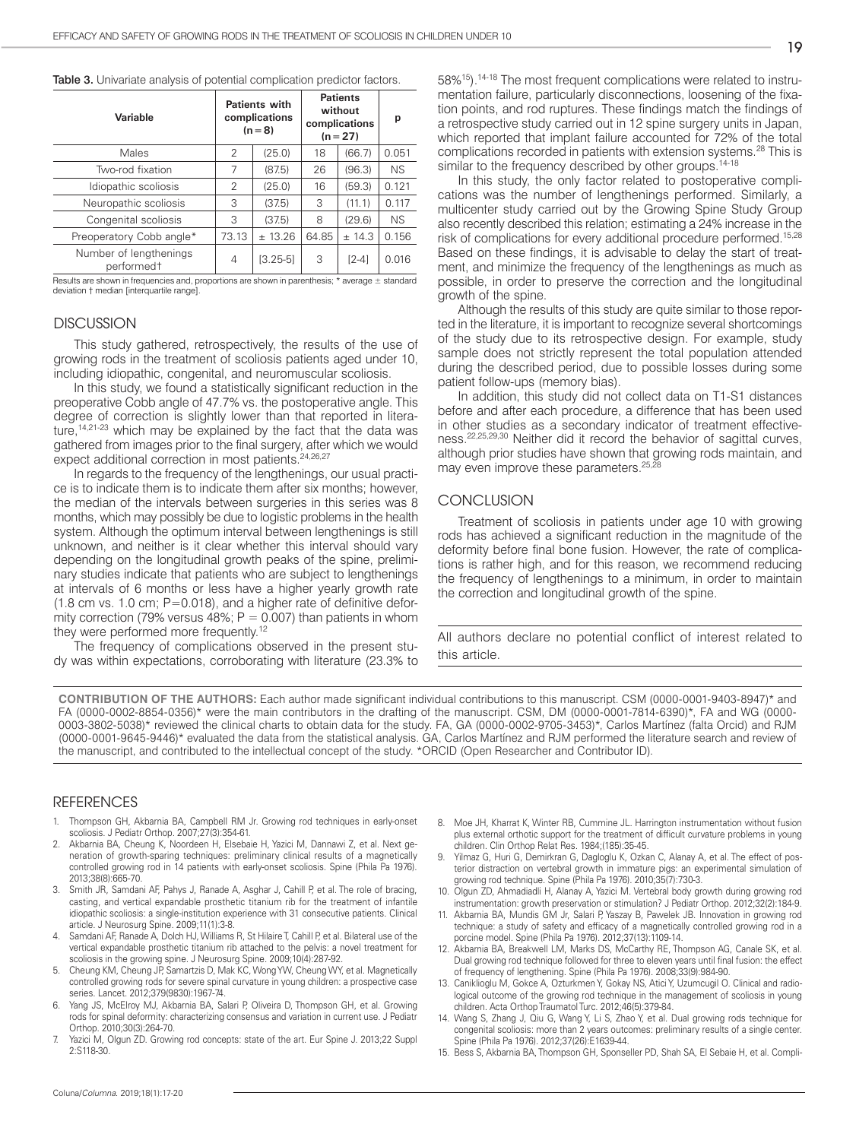|  |  |  |  |  |  | <b>Table 3.</b> Univariate analysis of potential complication predictor factors. |
|--|--|--|--|--|--|----------------------------------------------------------------------------------|
|--|--|--|--|--|--|----------------------------------------------------------------------------------|

| <b>Patients with</b><br>complications<br>$(n = 8)$ |              | <b>Patients</b><br>without<br>complications<br>$(n = 27)$ |         | р                                                                                                                    |
|----------------------------------------------------|--------------|-----------------------------------------------------------|---------|----------------------------------------------------------------------------------------------------------------------|
| 2                                                  | (25.0)       | 18                                                        | (66.7)  | 0.051                                                                                                                |
| 7                                                  | (87.5)       | 26                                                        | (96.3)  | <b>NS</b>                                                                                                            |
| 2                                                  | (25.0)       | 16                                                        | (59.3)  | 0.121                                                                                                                |
| 3                                                  | (37.5)       | 3                                                         | (11.1)  | 0.117                                                                                                                |
| 3                                                  | (37.5)       | 8                                                         | (29.6)  | <b>NS</b>                                                                                                            |
| 73.13                                              | ± 13.26      | 64.85                                                     | ± 14.3  | 0.156                                                                                                                |
| 4                                                  | $[3.25 - 5]$ | 3                                                         | $[2-4]$ | 0.016                                                                                                                |
|                                                    |              |                                                           |         | The collection of the contracted of the second state of the collection of the contracted with several contracted and |

s:  $*$  average  $\pm$  : deviation † median [interquartile range].

#### **DISCUSSION**

This study gathered, retrospectively, the results of the use of growing rods in the treatment of scoliosis patients aged under 10, including idiopathic, congenital, and neuromuscular scoliosis.

In this study, we found a statistically significant reduction in the preoperative Cobb angle of 47.7% vs. the postoperative angle. This degree of correction is slightly lower than that reported in literature,<sup>14,21-23</sup> which may be explained by the fact that the data was gathered from images prior to the final surgery, after which we would expect additional correction in most patients.<sup>24,26,27</sup>

In regards to the frequency of the lengthenings, our usual practice is to indicate them is to indicate them after six months; however, the median of the intervals between surgeries in this series was 8 months, which may possibly be due to logistic problems in the health system. Although the optimum interval between lengthenings is still unknown, and neither is it clear whether this interval should vary depending on the longitudinal growth peaks of the spine, preliminary studies indicate that patients who are subject to lengthenings at intervals of 6 months or less have a higher yearly growth rate  $(1.8 \text{ cm vs. } 1.0 \text{ cm}; P=0.018)$ , and a higher rate of definitive deformity correction (79% versus 48%;  $P = 0.007$ ) than patients in whom they were performed more frequently.<sup>12</sup>

The frequency of complications observed in the present study was within expectations, corroborating with literature (23.3% to 58%15).14-18 The most frequent complications were related to instrumentation failure, particularly disconnections, loosening of the fixation points, and rod ruptures. These findings match the findings of a retrospective study carried out in 12 spine surgery units in Japan, which reported that implant failure accounted for 72% of the total complications recorded in patients with extension systems.28 This is similar to the frequency described by other groups.<sup>14-18</sup>

In this study, the only factor related to postoperative complications was the number of lengthenings performed. Similarly, a multicenter study carried out by the Growing Spine Study Group also recently described this relation; estimating a 24% increase in the risk of complications for every additional procedure performed.<sup>15,28</sup> Based on these findings, it is advisable to delay the start of treatment, and minimize the frequency of the lengthenings as much as possible, in order to preserve the correction and the longitudinal growth of the spine.

Although the results of this study are quite similar to those reported in the literature, it is important to recognize several shortcomings of the study due to its retrospective design. For example, study sample does not strictly represent the total population attended during the described period, due to possible losses during some patient follow-ups (memory bias).

In addition, this study did not collect data on T1-S1 distances before and after each procedure, a difference that has been used in other studies as a secondary indicator of treatment effectiveness.22,25,29,30 Neither did it record the behavior of sagittal curves, although prior studies have shown that growing rods maintain, and may even improve these parameters.<sup>25,28</sup>

#### **CONCLUSION**

Treatment of scoliosis in patients under age 10 with growing rods has achieved a significant reduction in the magnitude of the deformity before final bone fusion. However, the rate of complications is rather high, and for this reason, we recommend reducing the frequency of lengthenings to a minimum, in order to maintain the correction and longitudinal growth of the spine.

All authors declare no potential conflict of interest related to this article.

**CONTRIBUTION OF THE AUTHORS:** Each author made significant individual contributions to this manuscript. CSM (0000-0001-9403-8947)\* and FA (0000-0002-8854-0356)\* were the main contributors in the drafting of the manuscript. CSM, DM (0000-0001-7814-6390)\*, FA and WG (0000- 0003-3802-5038)\* reviewed the clinical charts to obtain data for the study. FA, GA (0000-0002-9705-3453)\*, Carlos Martínez (falta Orcid) and RJM (0000-0001-9645-9446)\* evaluated the data from the statistical analysis. GA, Carlos Martínez and RJM performed the literature search and review of the manuscript, and contributed to the intellectual concept of the study. \*ORCID (Open Researcher and Contributor ID).

#### REFERENCES

- 1. Thompson GH, Akbarnia BA, Campbell RM Jr. Growing rod techniques in early-onset scoliosis. J Pediatr Orthop. 2007;27(3):354-61.
- 2. Akbarnia BA, Cheung K, Noordeen H, Elsebaie H, Yazici M, Dannawi Z, et al. Next generation of growth-sparing techniques: preliminary clinical results of a magnetically controlled growing rod in 14 patients with early-onset scoliosis. Spine (Phila Pa 1976). 2013;38(8):665-70.
- 3. Smith JR, Samdani AF, Pahys J, Ranade A, Asghar J, Cahill P, et al. The role of bracing, casting, and vertical expandable prosthetic titanium rib for the treatment of infantile idiopathic scoliosis: a single-institution experience with 31 consecutive patients. Clinical article. J Neurosurg Spine. 2009;11(1):3-8.
- 4. Samdani AF, Ranade A, Dolch HJ, Williams R, St Hilaire T, Cahill P, et al. Bilateral use of the vertical expandable prosthetic titanium rib attached to the pelvis: a novel treatment for scoliosis in the growing spine. J Neurosurg Spine. 2009;10(4):287-92.
- 5. Cheung KM, Cheung JP, Samartzis D, Mak KC, Wong YW, Cheung WY, et al. Magnetically controlled growing rods for severe spinal curvature in young children: a prospective case series. Lancet. 2012;379(9830):1967-74.
- Yang JS, McElroy MJ, Akbarnia BA, Salari P, Oliveira D, Thompson GH, et al. Growing rods for spinal deformity: characterizing consensus and variation in current use. J Pediatr Orthop. 2010;30(3):264-70.
- Yazici M, Olgun ZD. Growing rod concepts: state of the art. Eur Spine J. 2013;22 Suppl 2:S118-30.
- 8. Moe JH, Kharrat K, Winter RB, Cummine JL. Harrington instrumentation without fusion plus external orthotic support for the treatment of difficult curvature problems in young children. Clin Orthop Relat Res. 1984;(185):35-45.
- Yilmaz G, Huri G, Demirkran G, Dagloglu K, Ozkan C, Alanay A, et al. The effect of posterior distraction on vertebral growth in immature pigs: an experimental simulation of growing rod technique. Spine (Phila Pa 1976). 2010;35(7):730-3.
- 10. Olgun ZD, Ahmadiadli H, Alanay A, Yazici M. Vertebral body growth during growing rod instrumentation: growth preservation or stimulation? J Pediatr Orthop. 2012;32(2):184-9.
- 11. Akbarnia BA, Mundis GM Jr, Salari P, Yaszay B, Pawelek JB. Innovation in growing rod technique: a study of safety and efficacy of a magnetically controlled growing rod in a porcine model. Spine (Phila Pa 1976). 2012;37(13):1109-14.
- 12. Akbarnia BA, Breakwell LM, Marks DS, McCarthy RE, Thompson AG, Canale SK, et al. Dual growing rod technique followed for three to eleven years until final fusion: the effect of frequency of lengthening. Spine (Phila Pa 1976). 2008;33(9):984-90.
- 13. Caniklioglu M, Gokce A, Ozturkmen Y, Gokay NS, Atici Y, Uzumcugil O. Clinical and radiological outcome of the growing rod technique in the management of scoliosis in young children. Acta Orthop Traumatol Turc. 2012;46(5):379-84.
- 14. Wang S, Zhang J, Qiu G, Wang Y, Li S, Zhao Y, et al. Dual growing rods technique for congenital scoliosis: more than 2 years outcomes: preliminary results of a single center. Spine (Phila Pa 1976). 2012;37(26):E1639-44.
- 15. Bess S, Akbarnia BA, Thompson GH, Sponseller PD, Shah SA, El Sebaie H, et al. Compli-